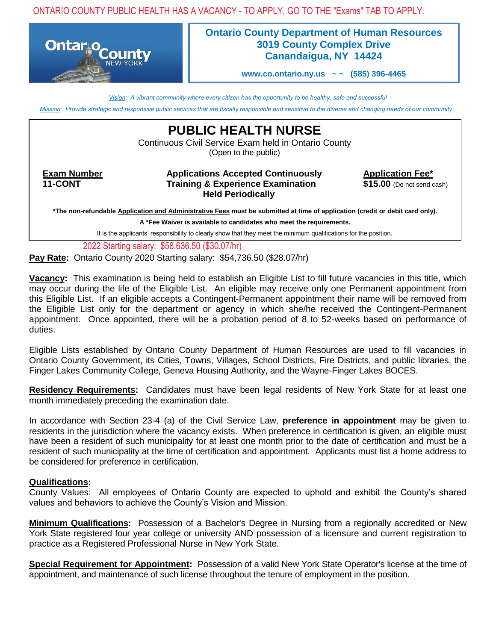ONTARIO COUNTY PUBLIC HEALTH HAS A VACANCY - TO APPLY, GO TO THE "Exams" TAB TO APPLY.



## **Ontario County Department of Human Resources 3019 County Complex Drive Canandaigua, NY 14424**

**[www.co.ontario.ny.us](http://www.co.ontario.ny.us/) ~ ~ (585) 396-4465**

*Vision: A vibrant community where every citizen has the opportunity to be healthy, safe and successful*

*Mission: Provide strategic and responsive public services that are fiscally responsible and sensitive to the diverse and changing needs of our community*

**PUBLIC HEALTH NURSE**

Continuous Civil Service Exam held in Ontario County (Open to the public)

**Exam Number • The Applications Accepted Continuously • Application Fee\* 11-CONT Training & Experience Examination \$15.00** (Do not send cash) **Held Periodically**

**\*The non-refundable Application and Administrative Fees must be submitted at time of application (credit or debit card only).**

**A \*Fee Waiver is available to candidates who meet the requirements.**

It is the applicants' responsibility to clearly show that they meet the minimum qualifications for the position.

2022 Starting salary: \$58,636.50 (\$30.07/hr)

**Pay Rate:** Ontario County 2020 Starting salary: \$54,736.50 (\$28.07/hr)

**Vacancy:** This examination is being held to establish an Eligible List to fill future vacancies in this title, which may occur during the life of the Eligible List. An eligible may receive only one Permanent appointment from this Eligible List. If an eligible accepts a Contingent-Permanent appointment their name will be removed from the Eligible List only for the department or agency in which she/he received the Contingent-Permanent appointment. Once appointed, there will be a probation period of 8 to 52-weeks based on performance of duties.

Eligible Lists established by Ontario County Department of Human Resources are used to fill vacancies in Ontario County Government, its Cities, Towns, Villages, School Districts, Fire Districts, and public libraries, the Finger Lakes Community College, Geneva Housing Authority, and the Wayne-Finger Lakes BOCES.

**Residency Requirements:** Candidates must have been legal residents of New York State for at least one month immediately preceding the examination date.

In accordance with Section 23-4 (a) of the Civil Service Law, **preference in appointment** may be given to residents in the jurisdiction where the vacancy exists. When preference in certification is given, an eligible must have been a resident of such municipality for at least one month prior to the date of certification and must be a resident of such municipality at the time of certification and appointment. Applicants must list a home address to be considered for preference in certification.

## **Qualifications:**

County Values: All employees of Ontario County are expected to uphold and exhibit the County's shared values and behaviors to achieve the County's Vision and Mission.

**Minimum Qualifications:** Possession of a Bachelor's Degree in Nursing from a regionally accredited or New York State registered four year college or university AND possession of a licensure and current registration to practice as a Registered Professional Nurse in New York State.

**Special Requirement for Appointment:** Possession of a valid New York State Operator's license at the time of appointment, and maintenance of such license throughout the tenure of employment in the position.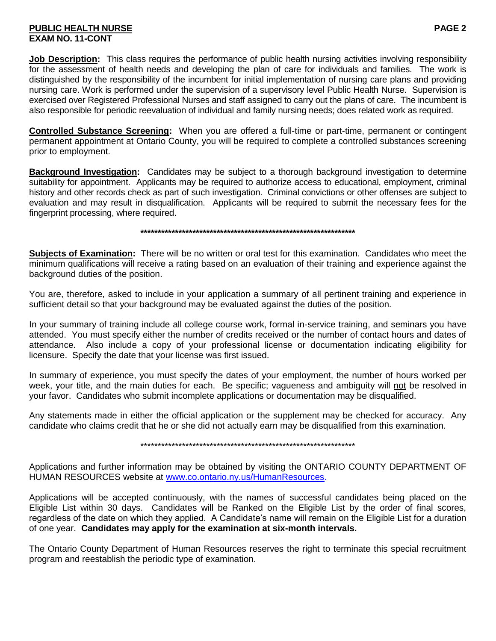## **PUBLIC HEALTH NURSE PAGE 2 EXAM NO. 11-CONT**

**Job Description:** This class requires the performance of public health nursing activities involving responsibility for the assessment of health needs and developing the plan of care for individuals and families. The work is distinguished by the responsibility of the incumbent for initial implementation of nursing care plans and providing nursing care. Work is performed under the supervision of a supervisory level Public Health Nurse. Supervision is exercised over Registered Professional Nurses and staff assigned to carry out the plans of care. The incumbent is also responsible for periodic reevaluation of individual and family nursing needs; does related work as required.

**Controlled Substance Screening:** When you are offered a full-time or part-time, permanent or contingent permanent appointment at Ontario County, you will be required to complete a controlled substances screening prior to employment.

**Background Investigation:** Candidates may be subject to a thorough background investigation to determine suitability for appointment. Applicants may be required to authorize access to educational, employment, criminal history and other records check as part of such investigation. Criminal convictions or other offenses are subject to evaluation and may result in disqualification. Applicants will be required to submit the necessary fees for the fingerprint processing, where required.

**\*\*\*\*\*\*\*\*\*\*\*\*\*\*\*\*\*\*\*\*\*\*\*\*\*\*\*\*\*\*\*\*\*\*\*\*\*\*\*\*\*\*\*\*\*\*\*\*\*\*\*\*\*\*\*\*\*\*\*\*\*\***

**Subjects of Examination:** There will be no written or oral test for this examination. Candidates who meet the minimum qualifications will receive a rating based on an evaluation of their training and experience against the background duties of the position.

You are, therefore, asked to include in your application a summary of all pertinent training and experience in sufficient detail so that your background may be evaluated against the duties of the position.

In your summary of training include all college course work, formal in-service training, and seminars you have attended. You must specify either the number of credits received or the number of contact hours and dates of attendance. Also include a copy of your professional license or documentation indicating eligibility for licensure. Specify the date that your license was first issued.

In summary of experience, you must specify the dates of your employment, the number of hours worked per week, your title, and the main duties for each. Be specific; vagueness and ambiguity will not be resolved in your favor. Candidates who submit incomplete applications or documentation may be disqualified.

Any statements made in either the official application or the supplement may be checked for accuracy. Any candidate who claims credit that he or she did not actually earn may be disqualified from this examination.

\*\*\*\*\*\*\*\*\*\*\*\*\*\*\*\*\*\*\*\*\*\*\*\*\*\*\*\*\*\*\*\*\*\*\*\*\*\*\*\*\*\*\*\*\*\*\*\*\*\*\*\*\*\*\*\*\*\*\*\*\*\*

Applications and further information may be obtained by visiting the ONTARIO COUNTY DEPARTMENT OF HUMAN RESOURCES website at [www.co.ontario.ny.us/HumanResources.](http://www.co.ontario.ny.us/HumanResources)

Applications will be accepted continuously, with the names of successful candidates being placed on the Eligible List within 30 days. Candidates will be Ranked on the Eligible List by the order of final scores, regardless of the date on which they applied. A Candidate's name will remain on the Eligible List for a duration of one year. **Candidates may apply for the examination at six-month intervals.**

The Ontario County Department of Human Resources reserves the right to terminate this special recruitment program and reestablish the periodic type of examination.